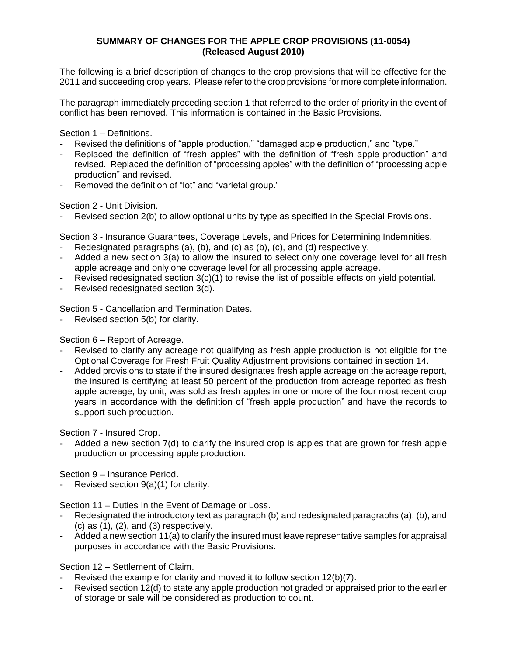# **SUMMARY OF CHANGES FOR THE APPLE CROP PROVISIONS (11-0054) (Released August 2010)**

The following is a brief description of changes to the crop provisions that will be effective for the 2011 and succeeding crop years. Please refer to the crop provisions for more complete information.

The paragraph immediately preceding section 1 that referred to the order of priority in the event of conflict has been removed. This information is contained in the Basic Provisions.

Section 1 – Definitions.

- Revised the definitions of "apple production," "damaged apple production," and "type."
- Replaced the definition of "fresh apples" with the definition of "fresh apple production" and revised. Replaced the definition of "processing apples" with the definition of "processing apple production" and revised.
- Removed the definition of "lot" and "varietal group."

Section 2 - Unit Division.

Revised section 2(b) to allow optional units by type as specified in the Special Provisions.

Section 3 - Insurance Guarantees, Coverage Levels, and Prices for Determining Indemnities.

- Redesignated paragraphs (a), (b), and  $(c)$  as (b),  $(c)$ , and (d) respectively.
- Added a new section 3(a) to allow the insured to select only one coverage level for all fresh apple acreage and only one coverage level for all processing apple acreage.
- Revised redesignated section 3(c)(1) to revise the list of possible effects on yield potential.
- Revised redesignated section 3(d).

Section 5 - Cancellation and Termination Dates.

Revised section 5(b) for clarity.

Section 6 – Report of Acreage.

- Revised to clarify any acreage not qualifying as fresh apple production is not eligible for the Optional Coverage for Fresh Fruit Quality Adjustment provisions contained in section 14.
- Added provisions to state if the insured designates fresh apple acreage on the acreage report, the insured is certifying at least 50 percent of the production from acreage reported as fresh apple acreage, by unit, was sold as fresh apples in one or more of the four most recent crop years in accordance with the definition of "fresh apple production" and have the records to support such production.

Section 7 - Insured Crop.

Added a new section 7(d) to clarify the insured crop is apples that are grown for fresh apple production or processing apple production.

Section 9 – Insurance Period.

Revised section  $9(a)(1)$  for clarity.

Section 11 – Duties In the Event of Damage or Loss.

- Redesignated the introductory text as paragraph (b) and redesignated paragraphs (a), (b), and  $(c)$  as  $(1)$ ,  $(2)$ , and  $(3)$  respectively.
- Added a new section 11(a) to clarify the insured must leave representative samples for appraisal purposes in accordance with the Basic Provisions.

Section 12 – Settlement of Claim.

- Revised the example for clarity and moved it to follow section 12(b)(7).
- Revised section 12(d) to state any apple production not graded or appraised prior to the earlier of storage or sale will be considered as production to count.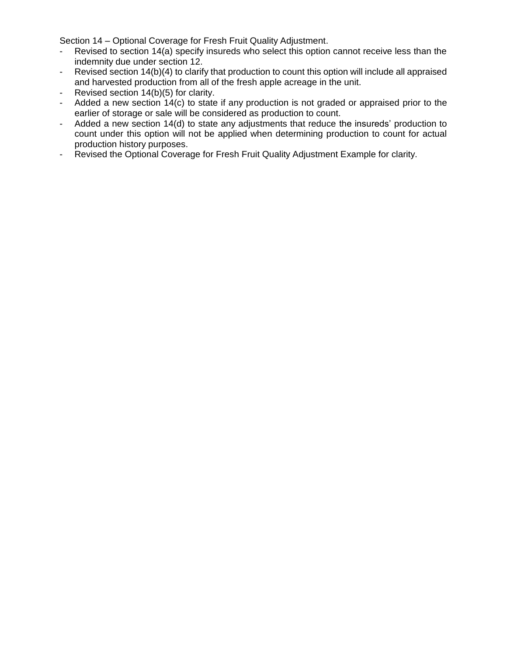Section 14 – Optional Coverage for Fresh Fruit Quality Adjustment.

- Revised to section 14(a) specify insureds who select this option cannot receive less than the indemnity due under section 12.
- Revised section 14(b)(4) to clarify that production to count this option will include all appraised and harvested production from all of the fresh apple acreage in the unit.
- Revised section 14(b)(5) for clarity.
- Added a new section 14(c) to state if any production is not graded or appraised prior to the earlier of storage or sale will be considered as production to count.
- Added a new section 14(d) to state any adjustments that reduce the insureds' production to count under this option will not be applied when determining production to count for actual production history purposes.
- Revised the Optional Coverage for Fresh Fruit Quality Adjustment Example for clarity.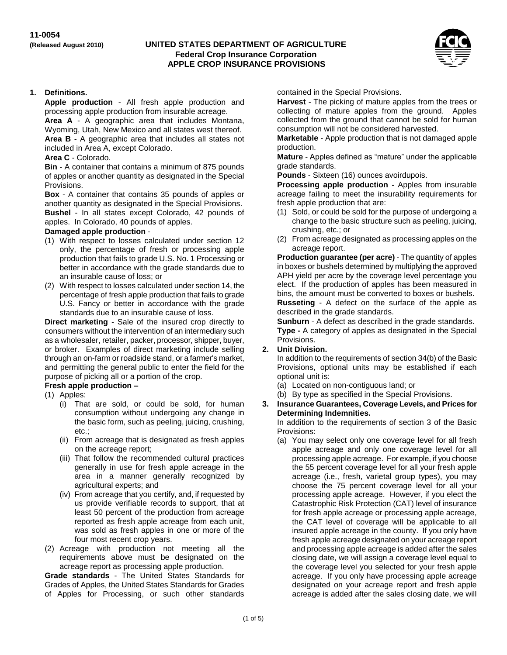#### **(Released August 2010) UNITED STATES DEPARTMENT OF AGRICULTURE Federal Crop Insurance Corporation APPLE CROP INSURANCE PROVISIONS**



### **1. Definitions.**

**Apple production** - All fresh apple production and processing apple production from insurable acreage.

**Area A** - A geographic area that includes Montana, Wyoming, Utah, New Mexico and all states west thereof. **Area B** - A geographic area that includes all states not included in Area A, except Colorado.

#### **Area C** - Colorado.

**Bin** - A container that contains a minimum of 875 pounds of apples or another quantity as designated in the Special Provisions.

**Box** - A container that contains 35 pounds of apples or another quantity as designated in the Special Provisions. **Bushel** - In all states except Colorado, 42 pounds of apples. In Colorado, 40 pounds of apples.

#### **Damaged apple production** -

- (1) With respect to losses calculated under section 12 only, the percentage of fresh or processing apple production that fails to grade U.S. No. 1 Processing or better in accordance with the grade standards due to an insurable cause of loss; or
- (2) With respect to losses calculated under section 14, the percentage of fresh apple production that fails to grade U.S. Fancy or better in accordance with the grade standards due to an insurable cause of loss.

**Direct marketing** - Sale of the insured crop directly to consumers without the intervention of an intermediary such as a wholesaler, retailer, packer, processor, shipper, buyer, or broker. Examples of direct marketing include selling through an on-farm or roadside stand, or a farmer's market, and permitting the general public to enter the field for the purpose of picking all or a portion of the crop.

### **Fresh apple production –**

- (1) Apples:
	- (i) That are sold, or could be sold, for human consumption without undergoing any change in the basic form, such as peeling, juicing, crushing, etc.;
	- (ii) From acreage that is designated as fresh apples on the acreage report;
	- (iii) That follow the recommended cultural practices generally in use for fresh apple acreage in the area in a manner generally recognized by agricultural experts; and
	- (iv) From acreage that you certify, and, if requested by us provide verifiable records to support, that at least 50 percent of the production from acreage reported as fresh apple acreage from each unit, was sold as fresh apples in one or more of the four most recent crop years.
- (2) Acreage with production not meeting all the requirements above must be designated on the acreage report as processing apple production.

**Grade standards** - The United States Standards for Grades of Apples, the United States Standards for Grades of Apples for Processing, or such other standards contained in the Special Provisions.

**Harvest** - The picking of mature apples from the trees or collecting of mature apples from the ground. Apples collected from the ground that cannot be sold for human consumption will not be considered harvested.

**Marketable** - Apple production that is not damaged apple production.

**Mature** - Apples defined as "mature" under the applicable grade standards.

**Pounds** - Sixteen (16) ounces avoirdupois.

**Processing apple production -** Apples from insurable acreage failing to meet the insurability requirements for fresh apple production that are:

- (1) Sold, or could be sold for the purpose of undergoing a change to the basic structure such as peeling, juicing, crushing, etc.; or
- (2) From acreage designated as processing apples on the acreage report.

**Production guarantee (per acre)** - The quantity of apples in boxes or bushels determined by multiplying the approved APH yield per acre by the coverage level percentage you elect. If the production of apples has been measured in bins, the amount must be converted to boxes or bushels.

**Russeting** - A defect on the surface of the apple as described in the grade standards.

**Sunburn** - A defect as described in the grade standards. **Type -** A category of apples as designated in the Special Provisions.

#### **2. Unit Division.**

In addition to the requirements of section 34(b) of the Basic Provisions, optional units may be established if each optional unit is:

- (a) Located on non-contiguous land; or
- (b) By type as specified in the Special Provisions.
- **3. Insurance Guarantees, Coverage Levels, and Prices for Determining Indemnities.**

In addition to the requirements of section 3 of the Basic Provisions:

(a) You may select only one coverage level for all fresh apple acreage and only one coverage level for all processing apple acreage. For example, if you choose the 55 percent coverage level for all your fresh apple acreage (i.e., fresh, varietal group types), you may choose the 75 percent coverage level for all your processing apple acreage. However, if you elect the Catastrophic Risk Protection (CAT) level of insurance for fresh apple acreage or processing apple acreage, the CAT level of coverage will be applicable to all insured apple acreage in the county. If you only have fresh apple acreage designated on your acreage report and processing apple acreage is added after the sales closing date, we will assign a coverage level equal to the coverage level you selected for your fresh apple acreage. If you only have processing apple acreage designated on your acreage report and fresh apple acreage is added after the sales closing date, we will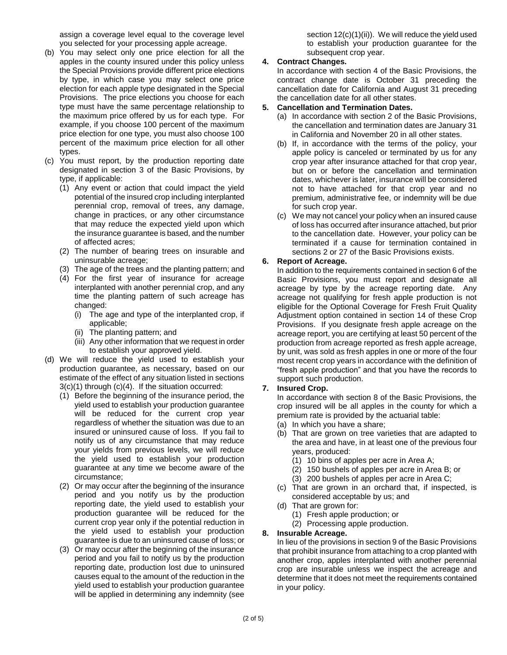assign a coverage level equal to the coverage level you selected for your processing apple acreage.

- (b) You may select only one price election for all the apples in the county insured under this policy unless the Special Provisions provide different price elections by type, in which case you may select one price election for each apple type designated in the Special Provisions. The price elections you choose for each type must have the same percentage relationship to the maximum price offered by us for each type. For example, if you choose 100 percent of the maximum price election for one type, you must also choose 100 percent of the maximum price election for all other types.
- (c) You must report, by the production reporting date designated in section 3 of the Basic Provisions, by type, if applicable:
	- (1) Any event or action that could impact the yield potential of the insured crop including interplanted perennial crop, removal of trees, any damage, change in practices, or any other circumstance that may reduce the expected yield upon which the insurance guarantee is based, and the number of affected acres;
	- (2) The number of bearing trees on insurable and uninsurable acreage;
	- (3) The age of the trees and the planting pattern; and
	- (4) For the first year of insurance for acreage interplanted with another perennial crop, and any time the planting pattern of such acreage has changed:
		- (i) The age and type of the interplanted crop, if applicable;
		- (ii) The planting pattern; and
		- (iii) Any other information that we request in order to establish your approved yield.
- (d) We will reduce the yield used to establish your production guarantee, as necessary, based on our estimate of the effect of any situation listed in sections  $3(c)(1)$  through  $(c)(4)$ . If the situation occurred:
	- (1) Before the beginning of the insurance period, the yield used to establish your production guarantee will be reduced for the current crop year regardless of whether the situation was due to an insured or uninsured cause of loss. If you fail to notify us of any circumstance that may reduce your yields from previous levels, we will reduce the yield used to establish your production guarantee at any time we become aware of the circumstance;
	- (2) Or may occur after the beginning of the insurance period and you notify us by the production reporting date, the yield used to establish your production guarantee will be reduced for the current crop year only if the potential reduction in the yield used to establish your production guarantee is due to an uninsured cause of loss; or
	- (3) Or may occur after the beginning of the insurance period and you fail to notify us by the production reporting date, production lost due to uninsured causes equal to the amount of the reduction in the yield used to establish your production guarantee will be applied in determining any indemnity (see

section  $12(c)(1)(ii)$ . We will reduce the yield used to establish your production guarantee for the subsequent crop year.

### **4. Contract Changes.**

In accordance with section 4 of the Basic Provisions, the contract change date is October 31 preceding the cancellation date for California and August 31 preceding the cancellation date for all other states.

### **5. Cancellation and Termination Dates.**

- (a) In accordance with section 2 of the Basic Provisions, the cancellation and termination dates are January 31 in California and November 20 in all other states.
- (b) If, in accordance with the terms of the policy, your apple policy is canceled or terminated by us for any crop year after insurance attached for that crop year, but on or before the cancellation and termination dates, whichever is later, insurance will be considered not to have attached for that crop year and no premium, administrative fee, or indemnity will be due for such crop year.
- (c) We may not cancel your policy when an insured cause of loss has occurred after insurance attached, but prior to the cancellation date. However, your policy can be terminated if a cause for termination contained in sections 2 or 27 of the Basic Provisions exists.

# **6. Report of Acreage.**

In addition to the requirements contained in section 6 of the Basic Provisions, you must report and designate all acreage by type by the acreage reporting date. Any acreage not qualifying for fresh apple production is not eligible for the Optional Coverage for Fresh Fruit Quality Adjustment option contained in section 14 of these Crop Provisions. If you designate fresh apple acreage on the acreage report, you are certifying at least 50 percent of the production from acreage reported as fresh apple acreage, by unit, was sold as fresh apples in one or more of the four most recent crop years in accordance with the definition of "fresh apple production" and that you have the records to support such production.

# **7. Insured Crop.**

In accordance with section 8 of the Basic Provisions, the crop insured will be all apples in the county for which a premium rate is provided by the actuarial table:

- (a) In which you have a share;
- (b) That are grown on tree varieties that are adapted to the area and have, in at least one of the previous four years, produced:
	- (1) 10 bins of apples per acre in Area A;
	- (2) 150 bushels of apples per acre in Area B; or
	- (3) 200 bushels of apples per acre in Area C;
- (c) That are grown in an orchard that, if inspected, is considered acceptable by us; and
- (d) That are grown for:
	- (1) Fresh apple production; or
	- (2) Processing apple production.

### **8. Insurable Acreage.**

In lieu of the provisions in section 9 of the Basic Provisions that prohibit insurance from attaching to a crop planted with another crop, apples interplanted with another perennial crop are insurable unless we inspect the acreage and determine that it does not meet the requirements contained in your policy.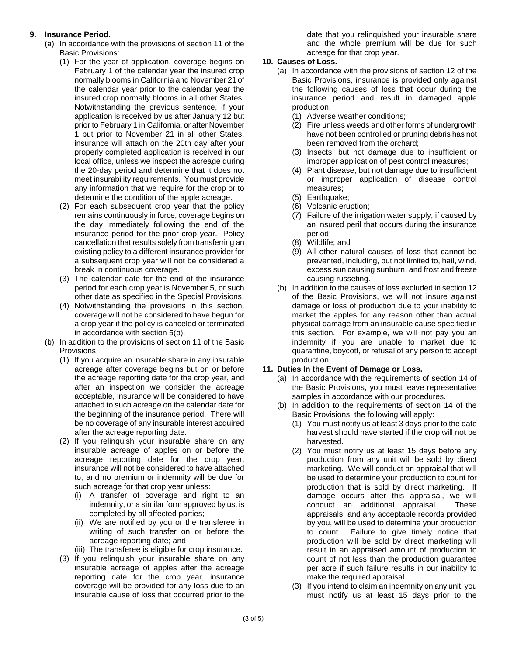# **9. Insurance Period.**

- (a) In accordance with the provisions of section 11 of the Basic Provisions:
	- (1) For the year of application, coverage begins on February 1 of the calendar year the insured crop normally blooms in California and November 21 of the calendar year prior to the calendar year the insured crop normally blooms in all other States. Notwithstanding the previous sentence, if your application is received by us after January 12 but prior to February 1 in California, or after November 1 but prior to November 21 in all other States, insurance will attach on the 20th day after your properly completed application is received in our local office, unless we inspect the acreage during the 20-day period and determine that it does not meet insurability requirements. You must provide any information that we require for the crop or to determine the condition of the apple acreage.
	- (2) For each subsequent crop year that the policy remains continuously in force, coverage begins on the day immediately following the end of the insurance period for the prior crop year. Policy cancellation that results solely from transferring an existing policy to a different insurance provider for a subsequent crop year will not be considered a break in continuous coverage.
	- (3) The calendar date for the end of the insurance period for each crop year is November 5, or such other date as specified in the Special Provisions.
	- (4) Notwithstanding the provisions in this section, coverage will not be considered to have begun for a crop year if the policy is canceled or terminated in accordance with section 5(b).
- (b) In addition to the provisions of section 11 of the Basic Provisions:
	- (1) If you acquire an insurable share in any insurable acreage after coverage begins but on or before the acreage reporting date for the crop year, and after an inspection we consider the acreage acceptable, insurance will be considered to have attached to such acreage on the calendar date for the beginning of the insurance period. There will be no coverage of any insurable interest acquired after the acreage reporting date.
	- (2) If you relinquish your insurable share on any insurable acreage of apples on or before the acreage reporting date for the crop year, insurance will not be considered to have attached to, and no premium or indemnity will be due for such acreage for that crop year unless:
		- (i) A transfer of coverage and right to an indemnity, or a similar form approved by us, is completed by all affected parties;
		- (ii) We are notified by you or the transferee in writing of such transfer on or before the acreage reporting date; and
		- (iii) The transferee is eligible for crop insurance.
	- (3) If you relinquish your insurable share on any insurable acreage of apples after the acreage reporting date for the crop year, insurance coverage will be provided for any loss due to an insurable cause of loss that occurred prior to the

date that you relinquished your insurable share and the whole premium will be due for such acreage for that crop year.

# **10. Causes of Loss.**

- (a) In accordance with the provisions of section 12 of the Basic Provisions, insurance is provided only against the following causes of loss that occur during the insurance period and result in damaged apple production:
	- (1) Adverse weather conditions;
	- (2) Fire unless weeds and other forms of undergrowth have not been controlled or pruning debris has not been removed from the orchard;
	- (3) Insects, but not damage due to insufficient or improper application of pest control measures;
	- (4) Plant disease, but not damage due to insufficient or improper application of disease control measures;
	- (5) Earthquake;
	- (6) Volcanic eruption;
	- (7) Failure of the irrigation water supply, if caused by an insured peril that occurs during the insurance period;
	- (8) Wildlife; and
	- (9) All other natural causes of loss that cannot be prevented, including, but not limited to, hail, wind, excess sun causing sunburn, and frost and freeze causing russeting.
- (b) In addition to the causes of loss excluded in section 12 of the Basic Provisions, we will not insure against damage or loss of production due to your inability to market the apples for any reason other than actual physical damage from an insurable cause specified in this section. For example, we will not pay you an indemnity if you are unable to market due to quarantine, boycott, or refusal of any person to accept production.

# **11. Duties In the Event of Damage or Loss.**

- (a) In accordance with the requirements of section 14 of the Basic Provisions, you must leave representative samples in accordance with our procedures.
- (b) In addition to the requirements of section 14 of the Basic Provisions, the following will apply:
	- (1) You must notify us at least 3 days prior to the date harvest should have started if the crop will not be harvested.
	- (2) You must notify us at least 15 days before any production from any unit will be sold by direct marketing. We will conduct an appraisal that will be used to determine your production to count for production that is sold by direct marketing. If damage occurs after this appraisal, we will conduct an additional appraisal. These appraisals, and any acceptable records provided by you, will be used to determine your production to count. Failure to give timely notice that production will be sold by direct marketing will result in an appraised amount of production to count of not less than the production guarantee per acre if such failure results in our inability to make the required appraisal.
	- (3) If you intend to claim an indemnity on any unit, you must notify us at least 15 days prior to the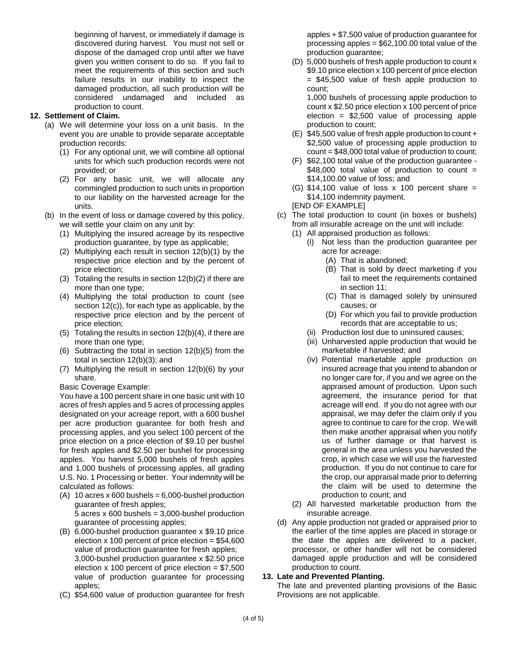beginning of harvest, or immediately if damage is discovered during harvest. You must not sell or dispose of the damaged crop until after we have given you written consent to do so. If you fail to meet the requirements of this section and such failure results in our inability to inspect the damaged production, all such production will be considered undamaged and included as production to count.

# **12. Settlement of Claim.**

- (a) We will determine your loss on a unit basis. In the event you are unable to provide separate acceptable production records:
	- (1) For any optional unit, we will combine all optional units for which such production records were not provided; or
	- (2) For any basic unit, we will allocate any commingled production to such units in proportion to our liability on the harvested acreage for the units.
- (b) In the event of loss or damage covered by this policy, we will settle your claim on any unit by:
	- (1) Multiplying the insured acreage by its respective production guarantee, by type as applicable;
	- (2) Multiplying each result in section 12(b)(1) by the respective price election and by the percent of price election;
	- (3) Totaling the results in section 12(b)(2) if there are more than one type;
	- (4) Multiplying the total production to count (see section 12(c)), for each type as applicable, by the respective price election and by the percent of price election;
	- (5) Totaling the results in section 12(b)(4), if there are more than one type;
	- (6) Subtracting the total in section 12(b)(5) from the total in section 12(b)(3); and
	- (7) Multiplying the result in section 12(b)(6) by your share.

Basic Coverage Example:

You have a 100 percent share in one basic unit with 10 acres of fresh apples and 5 acres of processing apples designated on your acreage report, with a 600 bushel per acre production guarantee for both fresh and processing apples, and you select 100 percent of the price election on a price election of \$9.10 per bushel for fresh apples and \$2.50 per bushel for processing apples. You harvest 5,000 bushels of fresh apples and 1,000 bushels of processing apples, all grading U.S. No. 1 Processing or better. Your indemnity will be calculated as follows:

- (A) 10 acres x 600 bushels =  $6,000$ -bushel production guarantee of fresh apples;  $5$  acres x 600 bushels = 3,000-bushel production guarantee of processing apples;
- (B) 6,000-bushel production guarantee x \$9.10 price election  $x$  100 percent of price election =  $$54,600$ value of production guarantee for fresh apples; 3,000-bushel production guarantee x \$2.50 price election  $x$  100 percent of price election = \$7,500 value of production guarantee for processing apples;
- (C) \$54,600 value of production guarantee for fresh

apples + \$7,500 value of production guarantee for processing apples  $= $62,100.00$  total value of the production guarantee;

(D) 5,000 bushels of fresh apple production to count x \$9.10 price election x 100 percent of price election = \$45,500 value of fresh apple production to count;

1,000 bushels of processing apple production to count x \$2.50 price election x 100 percent of price election  $=$  \$2,500 value of processing apple production to count;

- (E) \$45,500 value of fresh apple production to count + \$2,500 value of processing apple production to count = \$48,000 total value of production to count;
- (F) \$62,100 total value of the production guarantee  $$48,000$  total value of production to count = \$14,100.00 value of loss; and
- (G)  $$14,100$  value of loss x 100 percent share = \$14,100 indemnity payment. [END OF EXAMPLE]
- (c) The total production to count (in boxes or bushels) from all insurable acreage on the unit will include:
	- (1) All appraised production as follows:
		- (i) Not less than the production guarantee per acre for acreage:
			- (A) That is abandoned;
			- (B) That is sold by direct marketing if you fail to meet the requirements contained in section 11;
			- (C) That is damaged solely by uninsured causes; or
			- (D) For which you fail to provide production records that are acceptable to us;
		- (ii) Production lost due to uninsured causes;
		- (iii) Unharvested apple production that would be marketable if harvested; and
		- (iv) Potential marketable apple production on insured acreage that you intend to abandon or no longer care for, if you and we agree on the appraised amount of production. Upon such agreement, the insurance period for that acreage will end. If you do not agree with our appraisal, we may defer the claim only if you agree to continue to care for the crop. We will then make another appraisal when you notify us of further damage or that harvest is general in the area unless you harvested the crop, in which case we will use the harvested production. If you do not continue to care for the crop, our appraisal made prior to deferring the claim will be used to determine the production to count; and
	- (2) All harvested marketable production from the insurable acreage.
- (d) Any apple production not graded or appraised prior to the earlier of the time apples are placed in storage or the date the apples are delivered to a packer, processor, or other handler will not be considered damaged apple production and will be considered production to count.

#### **13. Late and Prevented Planting.**

The late and prevented planting provisions of the Basic Provisions are not applicable.